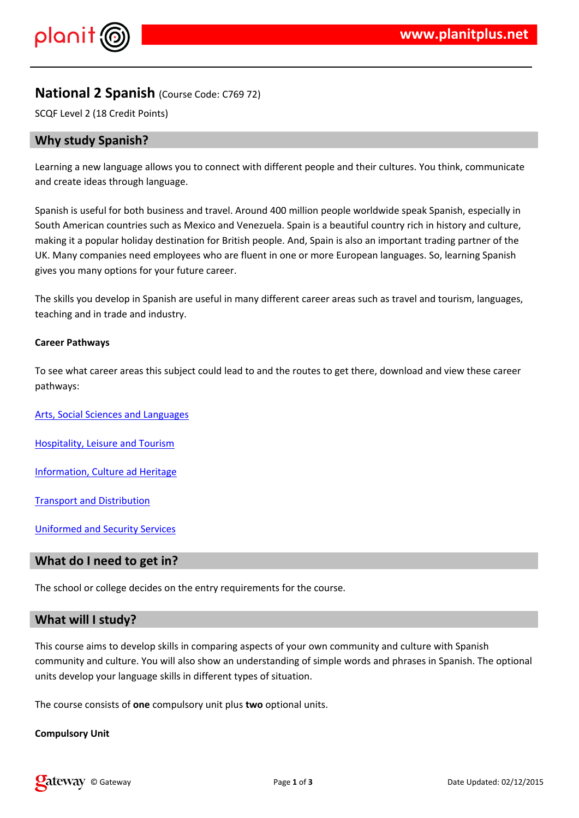## $\frac{1}{2}$   $\frac{1}{2}$   $\frac{1}{2}$   $\frac{1}{2}$   $\frac{1}{2}$   $\frac{1}{2}$   $\frac{1}{2}$   $\frac{1}{2}$   $\frac{1}{2}$   $\frac{1}{2}$   $\frac{1}{2}$   $\frac{1}{2}$   $\frac{1}{2}$   $\frac{1}{2}$   $\frac{1}{2}$   $\frac{1}{2}$   $\frac{1}{2}$   $\frac{1}{2}$   $\frac{1}{2}$   $\frac{1}{2}$   $\frac{1}{2}$   $\frac{1}{2}$

 $"\begin{array}{cccc} \times & \times & \times & \times & \times & \times \\ \times & \times & \times & \times & \times \end{array}$  (  $\begin{array}{cccc} \times & \times & \times & \times \\ \times & \times & \times & \times \end{array}$  (  $\begin{array}{cccc} \times & \times & \times & \times \\ \times & \times & \times & \times \end{array}$  (  $\begin{array}{cccc} \times & \times & \times & \times \\ \times & \times & \times & \times \end{array}$  (  $\begin{array}{cccc} \times & \times & \times & \times \\ \times & \times & \times & \times \end{array}$  ) & ( \text{ \

 $(8) 8$  \$/ &  $\frac{1}{2}$  # \$  $\frac{1}{2}$  0.1  $\frac{1}{2}$  & \$ &  $,$   $\&8)$  \$ \$ ) 0. & (' (' & 2 3(& ( 4'' 5 \$ \* & / & & \$ & ( ) & ' ) &  $3.8$  8  $3.8$  9  $3.8$  8 8 8 8 8 9 0  $3.8$  8 8 8 8 9 8 .  $\sim 10^{11}$  m  $^{-1}$  $\sim$   $\alpha$  $8'$  $7 * 2$  (8  $\overline{\phantom{0}}$  5  $\overline{\phantom{0}}$  8  $\overline{\phantom{0}}$  5  $\overline{\phantom{0}}$  6  $\overline{\phantom{0}}$  5  $\overline{\phantom{0}}$  5  $\overline{\phantom{0}}$  5  $\overline{\phantom{0}}$  5  $\overline{\phantom{0}}$  5  $\overline{\phantom{0}}$  5  $\overline{\phantom{0}}$  5  $\overline{\phantom{0}}$  5  $\overline{\phantom{0}}$  5  $\overline{\phantom{0}}$  5  $\overline{\phantom{0}}$  5

9)  $3.888$   $8'$  # \$8. )  $8.8'$  . 8. (1) # \$  $8.8'$  . 5

- $(9)$   $($   $/$  :  $(8)$   $($   $\circledast$   $'$   $)$  $( )$   $\sqrt{5}$   $\sqrt{48}$   $)$  $\overline{\phantom{a}}$
- $0 ($  & &\$'( "''
- $\therefore$  8 \$ 8 " 89 & '.
- $\langle$  . &  $\cdot$  \$ ; &
- $9 \quad 1 \quad 2 \quad 3 \quad 8 \quad 8 \quad 8 \quad 8 \quad 1$
- $8 + 8$
- 9) ()  $\frac{1}{3}$  (  $\frac{1}{3}$  (  $\frac{1}{3}$  (  $\frac{1}{3}$  (  $\frac{1}{3}$  (  $\frac{1}{3}$  (  $\frac{1}{3}$  (  $\frac{1}{3}$  (  $\frac{1}{3}$  (  $\frac{1}{3}$  (  $\frac{1}{3}$  (  $\frac{1}{3}$  (  $\frac{1}{3}$  (  $\frac{1}{3}$  (  $\frac{1}{3}$  (  $\frac{1}{3}$  (  $\frac{1}{3}$  (  $\frac{1}{3}$  (

9) ( ('& (. \$ '& \$ & ''& \*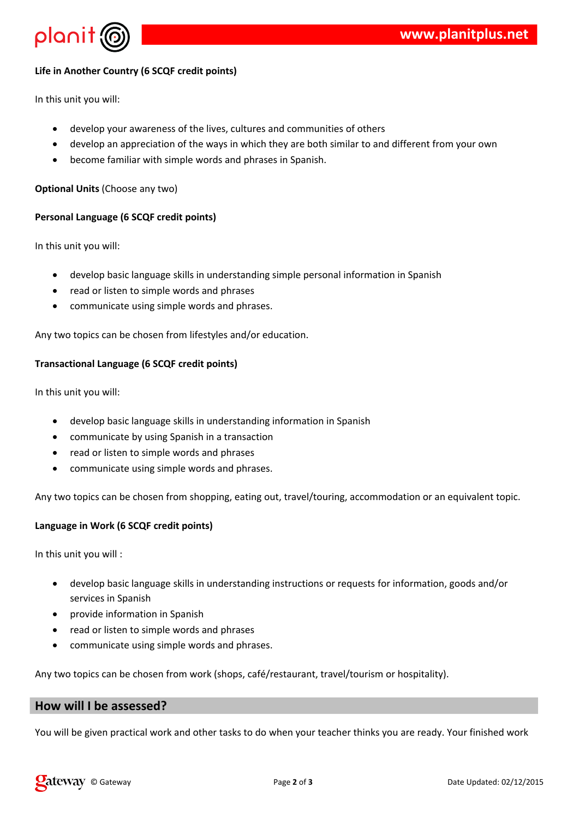

# **Life in Another Country (6 SCQF credit points)**

In this unit you will:

- develop your awareness of the lives, cultures and communities of others
- develop an appreciation of the ways in which they are both similar to and different from your own
- become familiar with simple words and phrases in Spanish.

#### **Optional Units** (Choose any two)

## **Personal Language (6 SCQF credit points)**

In this unit you will:

- develop basic language skills in understanding simple personal information in Spanish
- read or listen to simple words and phrases
- communicate using simple words and phrases.

Any two topics can be chosen from lifestyles and/or education.

## **Transactional Language (6 SCQF credit points)**

In this unit you will:

- develop basic language skills in understanding information in Spanish
- communicate by using Spanish in a transaction
- read or listen to simple words and phrases
- communicate using simple words and phrases.

Any two topics can be chosen from shopping, eating out, travel/touring, accommodation or an equivalent topic.

## **Language in Work (6 SCQF credit points)**

In this unit you will :

- develop basic language skills in understanding instructions or requests for information, goods and/or services in Spanish
- provide information in Spanish
- read or listen to simple words and phrases
- communicate using simple words and phrases.

Any two topics can be chosen from work (shops, café/restaurant, travel/tourism or hospitality).

# **How will I be assessed?**

You will be given practical work and other tasks to do when your teacher thinks you are ready. Your finished work